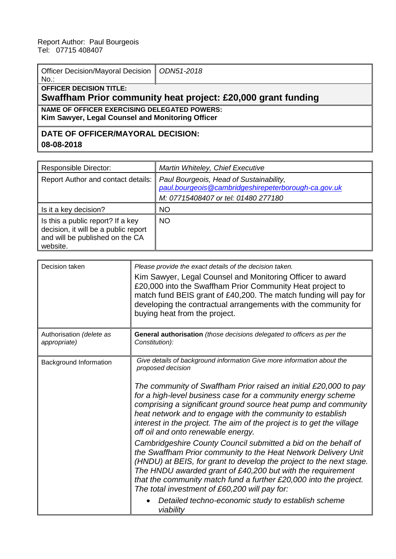| Officer Decision/Mayoral Decision   ODN51-2018<br>$No.$ :                                        |  |  |  |  |
|--------------------------------------------------------------------------------------------------|--|--|--|--|
| <b>OFFICER DECISION TITLE:</b><br>Swaffham Prior community heat project: £20,000 grant funding   |  |  |  |  |
| NAME OF OFFICER EXERCISING DELEGATED POWERS:<br>Kim Sawyer, Legal Counsel and Monitoring Officer |  |  |  |  |
| DATE OF OFFICER/MAYORAL DECISION:                                                                |  |  |  |  |

**08-08-2018**

| <b>Responsible Director:</b>                                                                                             | Martin Whiteley, Chief Executive                                                                                                      |
|--------------------------------------------------------------------------------------------------------------------------|---------------------------------------------------------------------------------------------------------------------------------------|
| <b>Report Author and contact details:</b>                                                                                | Paul Bourgeois, Head of Sustainability,<br>paul.bourgeois@cambridgeshirepeterborough-ca.gov.uk<br>M: 07715408407 or tel: 01480 277180 |
| Is it a key decision?                                                                                                    | <b>NO</b>                                                                                                                             |
| Is this a public report? If a key<br>decision, it will be a public report<br>and will be published on the CA<br>website. | <b>NO</b>                                                                                                                             |

| Decision taken                           | Please provide the exact details of the decision taken.<br>Kim Sawyer, Legal Counsel and Monitoring Officer to award<br>£20,000 into the Swaffham Prior Community Heat project to<br>match fund BEIS grant of £40,200. The match funding will pay for<br>developing the contractual arrangements with the community for<br>buying heat from the project.                                                                                                                                                                                                                                                                                                                                                                                                                                                                                                                                                                                         |
|------------------------------------------|--------------------------------------------------------------------------------------------------------------------------------------------------------------------------------------------------------------------------------------------------------------------------------------------------------------------------------------------------------------------------------------------------------------------------------------------------------------------------------------------------------------------------------------------------------------------------------------------------------------------------------------------------------------------------------------------------------------------------------------------------------------------------------------------------------------------------------------------------------------------------------------------------------------------------------------------------|
| Authorisation (delete as<br>appropriate) | General authorisation (those decisions delegated to officers as per the<br>Constitution):                                                                                                                                                                                                                                                                                                                                                                                                                                                                                                                                                                                                                                                                                                                                                                                                                                                        |
| <b>Background Information</b>            | Give details of background information Give more information about the<br>proposed decision<br>The community of Swaffham Prior raised an initial £20,000 to pay<br>for a high-level business case for a community energy scheme<br>comprising a significant ground source heat pump and community<br>heat network and to engage with the community to establish<br>interest in the project. The aim of the project is to get the village<br>off oil and onto renewable energy.<br>Cambridgeshire County Council submitted a bid on the behalf of<br>the Swaffham Prior community to the Heat Network Delivery Unit<br>(HNDU) at BEIS, for grant to develop the project to the next stage.<br>The HNDU awarded grant of £40,200 but with the requirement<br>that the community match fund a further £20,000 into the project.<br>The total investment of £60,200 will pay for:<br>Detailed techno-economic study to establish scheme<br>viability |